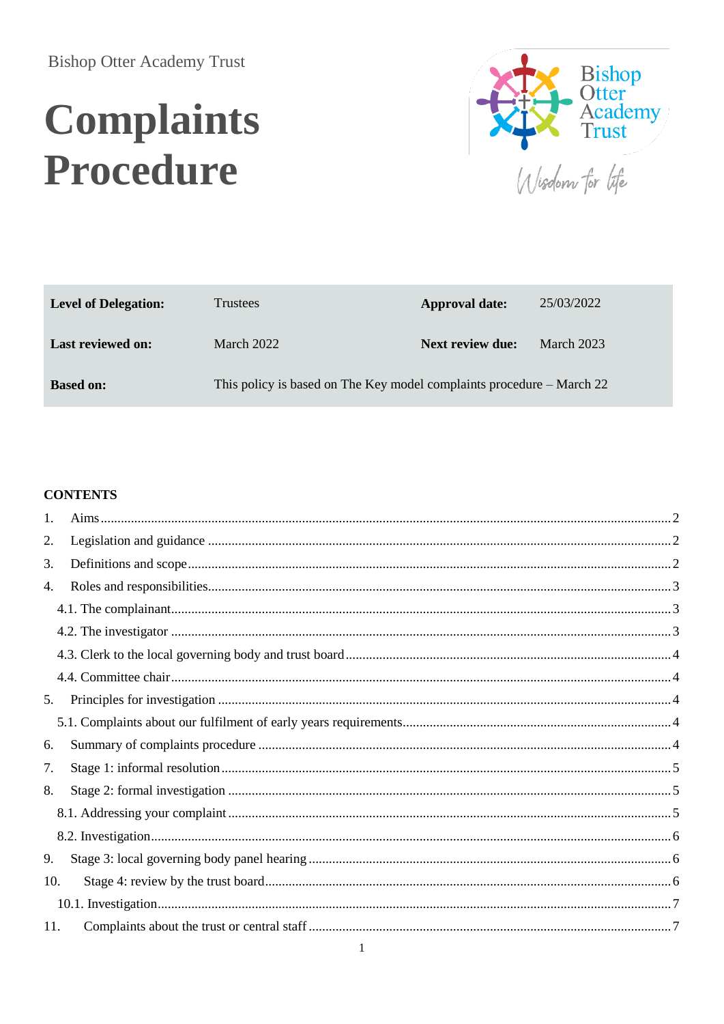# **Complaints** Procedure



Wisdom for life

| <b>Level of Delegation:</b> | <b>Trustees</b>                                                       | Approval date:          | 25/03/2022        |
|-----------------------------|-----------------------------------------------------------------------|-------------------------|-------------------|
| <b>Last reviewed on:</b>    | <b>March 2022</b>                                                     | <b>Next review due:</b> | <b>March 2023</b> |
| <b>Based on:</b>            | This policy is based on The Key model complaints procedure – March 22 |                         |                   |

#### **CONTENTS**

| 1.  |  |
|-----|--|
| 2.  |  |
| 3.  |  |
| 4.  |  |
|     |  |
|     |  |
|     |  |
|     |  |
| 5.  |  |
|     |  |
| 6.  |  |
| 7.  |  |
| 8.  |  |
|     |  |
|     |  |
| 9.  |  |
| 10. |  |
|     |  |
| 11. |  |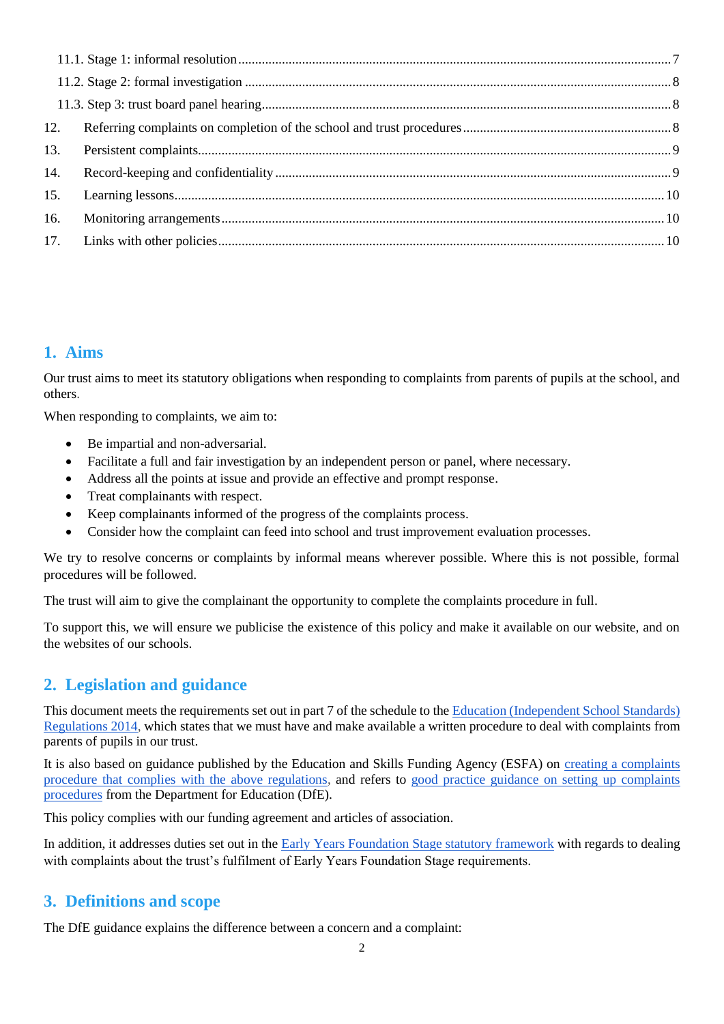| 12. |  |
|-----|--|
| 13. |  |
| 14. |  |
| 15. |  |
| 16. |  |
|     |  |
|     |  |

# <span id="page-1-0"></span>**1. Aims**

Our trust aims to meet its statutory obligations when responding to complaints from parents of pupils at the school, and others.

When responding to complaints, we aim to:

- Be impartial and non-adversarial.
- Facilitate a full and fair investigation by an independent person or panel, where necessary.
- Address all the points at issue and provide an effective and prompt response.
- Treat complainants with respect.
- Keep complainants informed of the progress of the complaints process.
- Consider how the complaint can feed into school and trust improvement evaluation processes.

We try to resolve concerns or complaints by informal means wherever possible. Where this is not possible, formal procedures will be followed.

The trust will aim to give the complainant the opportunity to complete the complaints procedure in full.

To support this, we will ensure we publicise the existence of this policy and make it available on our website, and on the websites of our schools.

# <span id="page-1-1"></span>**2. Legislation and guidance**

This document meets the requirements set out in part 7 of the schedule to the [Education \(Independent School Standards\)](http://www.legislation.gov.uk/uksi/2014/3283/schedule/made)  [Regulations 2014,](http://www.legislation.gov.uk/uksi/2014/3283/schedule/made) which states that we must have and make available a written procedure to deal with complaints from parents of pupils in our trust.

It is also based on guidance published by the Education and Skills Funding Agency (ESFA) on [creating a complaints](https://www.gov.uk/government/publications/setting-up-an-academies-complaints-procedure)  [procedure that complies with the above regulations,](https://www.gov.uk/government/publications/setting-up-an-academies-complaints-procedure) and refers to [good practice guidance on setting up complaints](https://www.gov.uk/government/publications/school-complaints-procedures)  [procedures](https://www.gov.uk/government/publications/school-complaints-procedures) from the Department for Education (DfE).

This policy complies with our funding agreement and articles of association.

In addition, it addresses duties set out in the [Early Years Foundation Stage statutory framework](https://www.gov.uk/government/publications/early-years-foundation-stage-framework--2) with regards to dealing with complaints about the trust's fulfilment of Early Years Foundation Stage requirements.

## <span id="page-1-2"></span>**3. Definitions and scope**

The DfE guidance explains the difference between a concern and a complaint: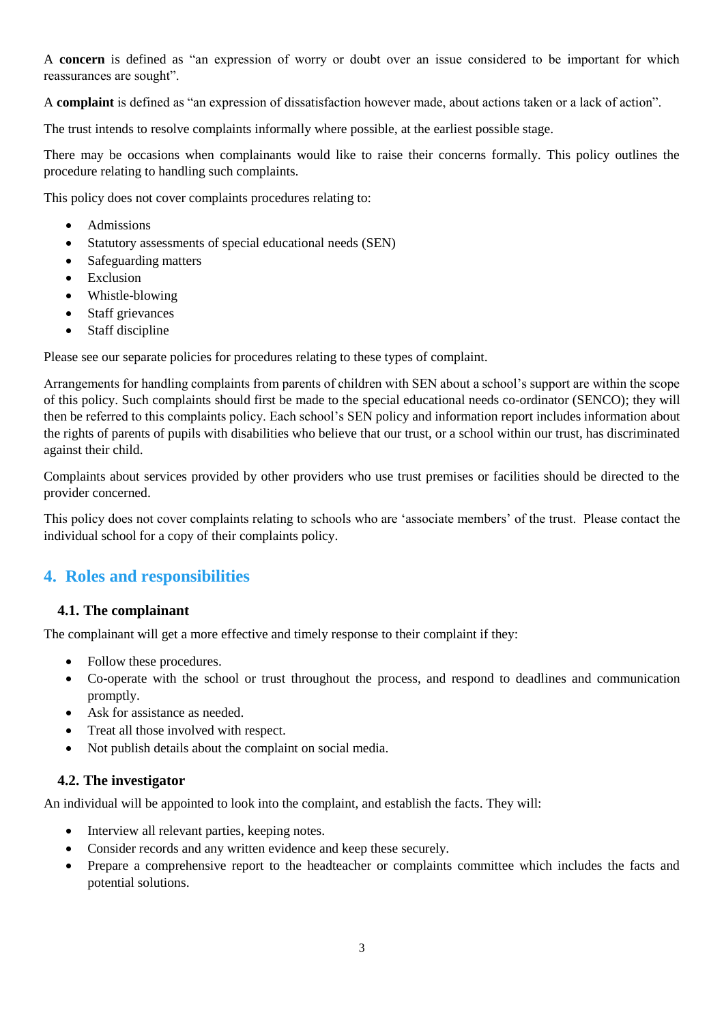A **concern** is defined as "an expression of worry or doubt over an issue considered to be important for which reassurances are sought".

A **complaint** is defined as "an expression of dissatisfaction however made, about actions taken or a lack of action".

The trust intends to resolve complaints informally where possible, at the earliest possible stage.

There may be occasions when complainants would like to raise their concerns formally. This policy outlines the procedure relating to handling such complaints.

This policy does not cover complaints procedures relating to:

- Admissions
- Statutory assessments of special educational needs (SEN)
- Safeguarding matters
- Exclusion
- Whistle-blowing
- Staff grievances
- Staff discipline

Please see our separate policies for procedures relating to these types of complaint.

Arrangements for handling complaints from parents of children with SEN about a school's support are within the scope of this policy. Such complaints should first be made to the special educational needs co-ordinator (SENCO); they will then be referred to this complaints policy. Each school's SEN policy and information report includes information about the rights of parents of pupils with disabilities who believe that our trust, or a school within our trust, has discriminated against their child.

Complaints about services provided by other providers who use trust premises or facilities should be directed to the provider concerned.

This policy does not cover complaints relating to schools who are 'associate members' of the trust. Please contact the individual school for a copy of their complaints policy.

## <span id="page-2-0"></span>**4. Roles and responsibilities**

#### <span id="page-2-1"></span>**4.1. The complainant**

The complainant will get a more effective and timely response to their complaint if they:

- Follow these procedures.
- Co-operate with the school or trust throughout the process, and respond to deadlines and communication promptly.
- Ask for assistance as needed.
- Treat all those involved with respect.
- Not publish details about the complaint on social media.

#### <span id="page-2-2"></span>**4.2. The investigator**

An individual will be appointed to look into the complaint, and establish the facts. They will:

- Interview all relevant parties, keeping notes.
- Consider records and any written evidence and keep these securely.
- Prepare a comprehensive report to the headteacher or complaints committee which includes the facts and potential solutions.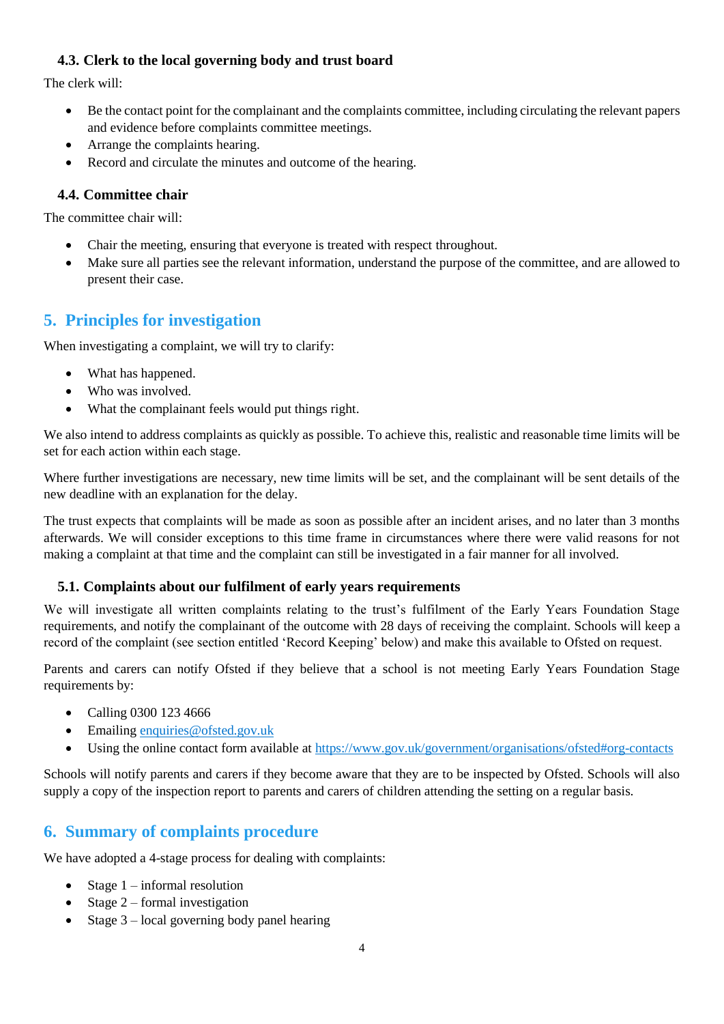#### <span id="page-3-0"></span>**4.3. Clerk to the local governing body and trust board**

The clerk will:

- Be the contact point for the complainant and the complaints committee, including circulating the relevant papers and evidence before complaints committee meetings.
- Arrange the complaints hearing.
- Record and circulate the minutes and outcome of the hearing.

#### <span id="page-3-1"></span>**4.4. Committee chair**

The committee chair will:

- Chair the meeting, ensuring that everyone is treated with respect throughout.
- Make sure all parties see the relevant information, understand the purpose of the committee, and are allowed to present their case.

# <span id="page-3-2"></span>**5. Principles for investigation**

When investigating a complaint, we will try to clarify:

- What has happened.
- Who was involved.
- What the complainant feels would put things right.

We also intend to address complaints as quickly as possible. To achieve this, realistic and reasonable time limits will be set for each action within each stage.

Where further investigations are necessary, new time limits will be set, and the complainant will be sent details of the new deadline with an explanation for the delay.

The trust expects that complaints will be made as soon as possible after an incident arises, and no later than 3 months afterwards. We will consider exceptions to this time frame in circumstances where there were valid reasons for not making a complaint at that time and the complaint can still be investigated in a fair manner for all involved.

#### <span id="page-3-3"></span>**5.1. Complaints about our fulfilment of early years requirements**

We will investigate all written complaints relating to the trust's fulfilment of the Early Years Foundation Stage requirements, and notify the complainant of the outcome with 28 days of receiving the complaint. Schools will keep a record of the complaint (see section entitled 'Record Keeping' below) and make this available to Ofsted on request.

Parents and carers can notify Ofsted if they believe that a school is not meeting Early Years Foundation Stage requirements by:

- Calling 0300 123 4666
- Emailing [enquiries@ofsted.gov.uk](mailto:enquiries@ofsted.gov.uk)
- Using the online contact form available at<https://www.gov.uk/government/organisations/ofsted#org-contacts>

Schools will notify parents and carers if they become aware that they are to be inspected by Ofsted. Schools will also supply a copy of the inspection report to parents and carers of children attending the setting on a regular basis.

# <span id="page-3-4"></span>**6. Summary of complaints procedure**

We have adopted a 4-stage process for dealing with complaints:

- $\bullet$  Stage 1 informal resolution
- Stage  $2$  formal investigation
- Stage 3 local governing body panel hearing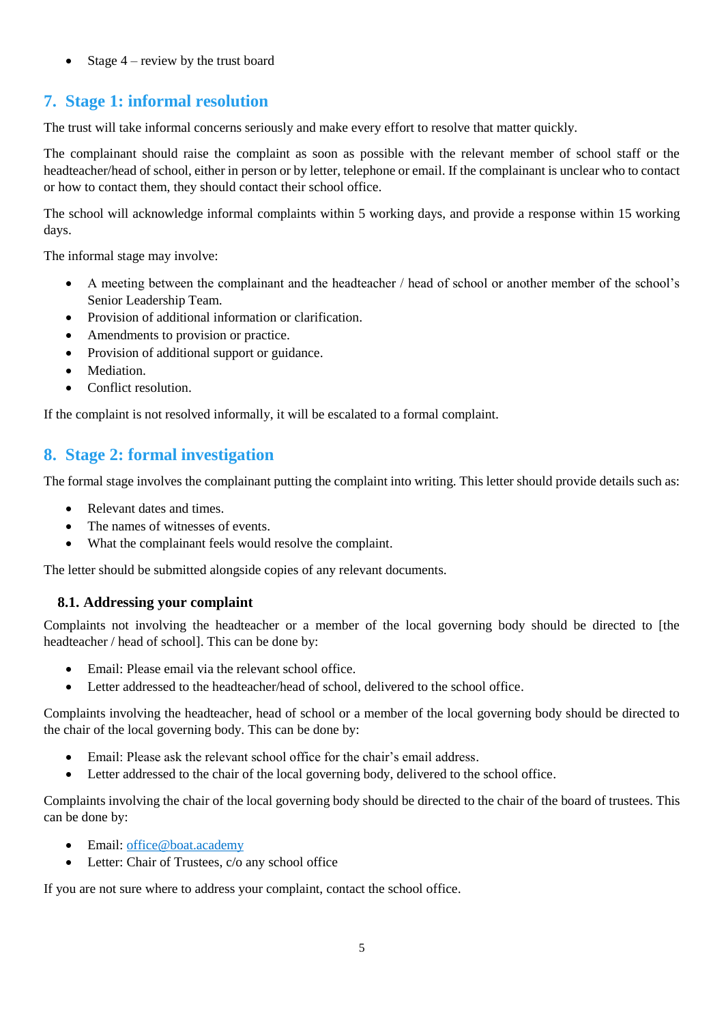Stage 4 – review by the trust board

# <span id="page-4-0"></span>**7. Stage 1: informal resolution**

The trust will take informal concerns seriously and make every effort to resolve that matter quickly.

The complainant should raise the complaint as soon as possible with the relevant member of school staff or the headteacher/head of school, either in person or by letter, telephone or email. If the complainant is unclear who to contact or how to contact them, they should contact their school office.

The school will acknowledge informal complaints within 5 working days, and provide a response within 15 working days.

The informal stage may involve:

- A meeting between the complainant and the headteacher / head of school or another member of the school's Senior Leadership Team.
- Provision of additional information or clarification.
- Amendments to provision or practice.
- Provision of additional support or guidance.
- Mediation.
- Conflict resolution.

If the complaint is not resolved informally, it will be escalated to a formal complaint.

# <span id="page-4-1"></span>**8. Stage 2: formal investigation**

The formal stage involves the complainant putting the complaint into writing. This letter should provide details such as:

- Relevant dates and times.
- The names of witnesses of events.
- What the complainant feels would resolve the complaint.

The letter should be submitted alongside copies of any relevant documents.

#### <span id="page-4-2"></span>**8.1. Addressing your complaint**

Complaints not involving the headteacher or a member of the local governing body should be directed to [the headteacher / head of school]. This can be done by:

- Email: Please email via the relevant school office.
- Letter addressed to the headteacher/head of school, delivered to the school office.

Complaints involving the headteacher, head of school or a member of the local governing body should be directed to the chair of the local governing body. This can be done by:

- Email: Please ask the relevant school office for the chair's email address.
- Letter addressed to the chair of the local governing body, delivered to the school office.

Complaints involving the chair of the local governing body should be directed to the chair of the board of trustees. This can be done by:

- Email: office@boat.academy
- Letter: Chair of Trustees, c/o any school office

If you are not sure where to address your complaint, contact the school office.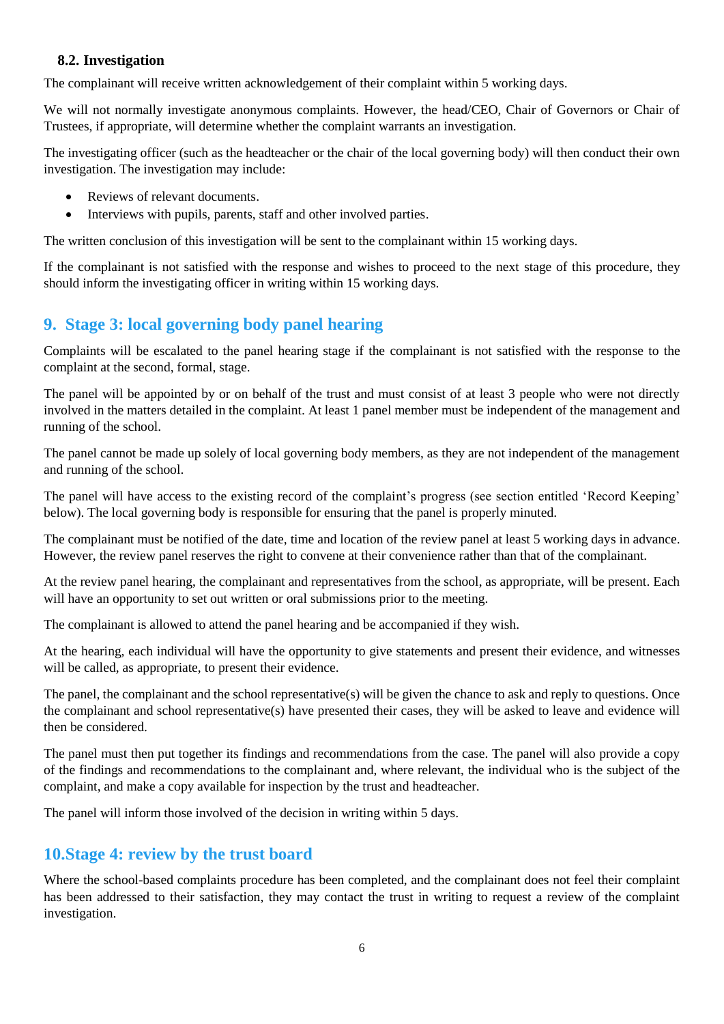#### <span id="page-5-0"></span>**8.2. Investigation**

The complainant will receive written acknowledgement of their complaint within 5 working days.

We will not normally investigate anonymous complaints. However, the head/CEO, Chair of Governors or Chair of Trustees, if appropriate, will determine whether the complaint warrants an investigation.

The investigating officer (such as the headteacher or the chair of the local governing body) will then conduct their own investigation. The investigation may include:

- Reviews of relevant documents.
- Interviews with pupils, parents, staff and other involved parties.

The written conclusion of this investigation will be sent to the complainant within 15 working days.

If the complainant is not satisfied with the response and wishes to proceed to the next stage of this procedure, they should inform the investigating officer in writing within 15 working days.

# <span id="page-5-1"></span>**9. Stage 3: local governing body panel hearing**

Complaints will be escalated to the panel hearing stage if the complainant is not satisfied with the response to the complaint at the second, formal, stage.

The panel will be appointed by or on behalf of the trust and must consist of at least 3 people who were not directly involved in the matters detailed in the complaint. At least 1 panel member must be independent of the management and running of the school.

The panel cannot be made up solely of local governing body members, as they are not independent of the management and running of the school.

The panel will have access to the existing record of the complaint's progress (see section entitled 'Record Keeping' below). The local governing body is responsible for ensuring that the panel is properly minuted.

The complainant must be notified of the date, time and location of the review panel at least 5 working days in advance. However, the review panel reserves the right to convene at their convenience rather than that of the complainant.

At the review panel hearing, the complainant and representatives from the school, as appropriate, will be present. Each will have an opportunity to set out written or oral submissions prior to the meeting.

The complainant is allowed to attend the panel hearing and be accompanied if they wish.

At the hearing, each individual will have the opportunity to give statements and present their evidence, and witnesses will be called, as appropriate, to present their evidence.

The panel, the complainant and the school representative(s) will be given the chance to ask and reply to questions. Once the complainant and school representative(s) have presented their cases, they will be asked to leave and evidence will then be considered.

The panel must then put together its findings and recommendations from the case. The panel will also provide a copy of the findings and recommendations to the complainant and, where relevant, the individual who is the subject of the complaint, and make a copy available for inspection by the trust and headteacher.

The panel will inform those involved of the decision in writing within 5 days.

## <span id="page-5-2"></span>**10.Stage 4: review by the trust board**

Where the school-based complaints procedure has been completed, and the complainant does not feel their complaint has been addressed to their satisfaction, they may contact the trust in writing to request a review of the complaint investigation.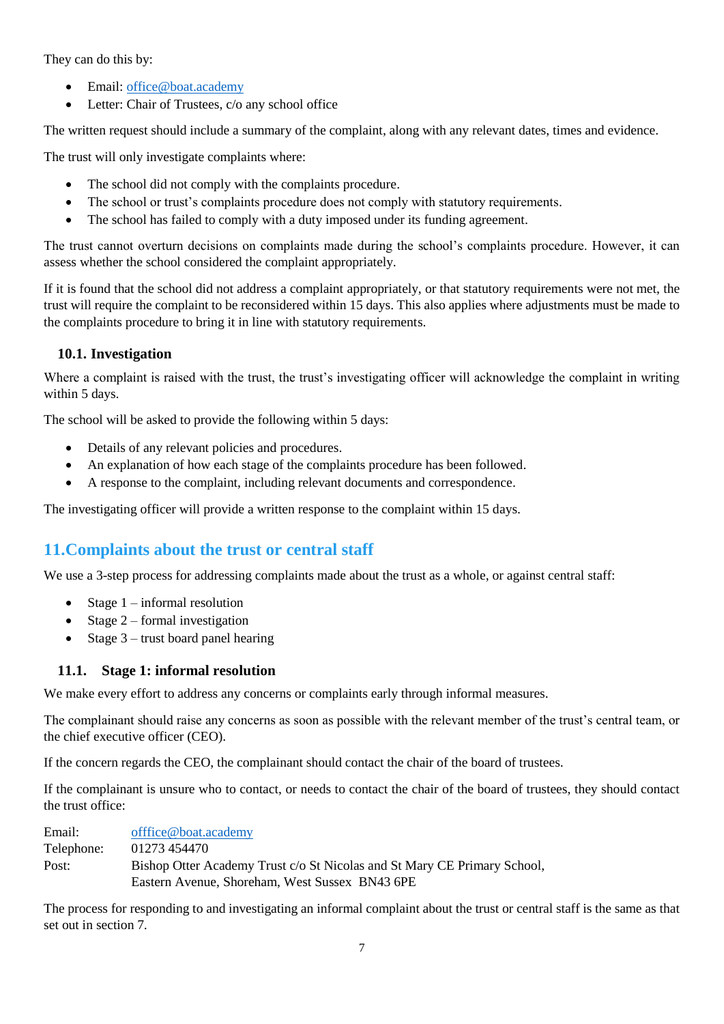They can do this by:

- Email: [office@boat.academy](mailto:office@boat.academy)
- Letter: Chair of Trustees, c/o any school office

The written request should include a summary of the complaint, along with any relevant dates, times and evidence.

The trust will only investigate complaints where:

- The school did not comply with the complaints procedure.
- The school or trust's complaints procedure does not comply with statutory requirements.
- The school has failed to comply with a duty imposed under its funding agreement.

The trust cannot overturn decisions on complaints made during the school's complaints procedure. However, it can assess whether the school considered the complaint appropriately.

If it is found that the school did not address a complaint appropriately, or that statutory requirements were not met, the trust will require the complaint to be reconsidered within 15 days. This also applies where adjustments must be made to the complaints procedure to bring it in line with statutory requirements.

#### <span id="page-6-0"></span>**10.1. Investigation**

Where a complaint is raised with the trust, the trust's investigating officer will acknowledge the complaint in writing within 5 days.

The school will be asked to provide the following within 5 days:

- Details of any relevant policies and procedures.
- An explanation of how each stage of the complaints procedure has been followed.
- A response to the complaint, including relevant documents and correspondence.

The investigating officer will provide a written response to the complaint within 15 days.

# <span id="page-6-1"></span>**11.Complaints about the trust or central staff**

We use a 3-step process for addressing complaints made about the trust as a whole, or against central staff:

- $\bullet$  Stage 1 informal resolution
- Stage  $2$  formal investigation
- Stage  $3$  trust board panel hearing

#### <span id="page-6-2"></span>**11.1. Stage 1: informal resolution**

We make every effort to address any concerns or complaints early through informal measures.

The complainant should raise any concerns as soon as possible with the relevant member of the trust's central team, or the chief executive officer (CEO).

If the concern regards the CEO, the complainant should contact the chair of the board of trustees.

If the complainant is unsure who to contact, or needs to contact the chair of the board of trustees, they should contact the trust office:

Email: [offfice@boat.academy](mailto:offfice@boat.academy) Telephone: 01273 454470 Post: Bishop Otter Academy Trust c/o St Nicolas and St Mary CE Primary School, Eastern Avenue, Shoreham, West Sussex BN43 6PE

The process for responding to and investigating an informal complaint about the trust or central staff is the same as that set out in section 7*.*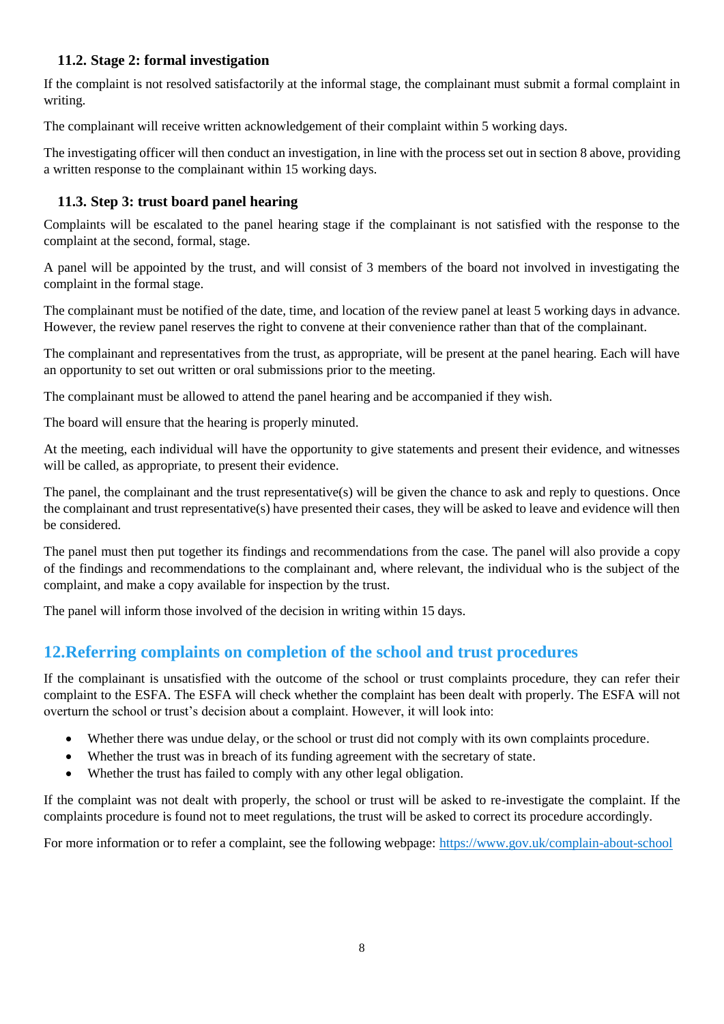#### <span id="page-7-0"></span>**11.2. Stage 2: formal investigation**

If the complaint is not resolved satisfactorily at the informal stage, the complainant must submit a formal complaint in writing.

The complainant will receive written acknowledgement of their complaint within 5 working days.

The investigating officer will then conduct an investigation, in line with the process set out in section 8 above, providing a written response to the complainant within 15 working days.

### <span id="page-7-1"></span>**11.3. Step 3: trust board panel hearing**

Complaints will be escalated to the panel hearing stage if the complainant is not satisfied with the response to the complaint at the second, formal, stage.

A panel will be appointed by the trust, and will consist of 3 members of the board not involved in investigating the complaint in the formal stage.

The complainant must be notified of the date, time, and location of the review panel at least 5 working days in advance. However, the review panel reserves the right to convene at their convenience rather than that of the complainant.

The complainant and representatives from the trust, as appropriate, will be present at the panel hearing. Each will have an opportunity to set out written or oral submissions prior to the meeting.

The complainant must be allowed to attend the panel hearing and be accompanied if they wish.

The board will ensure that the hearing is properly minuted.

At the meeting, each individual will have the opportunity to give statements and present their evidence, and witnesses will be called, as appropriate, to present their evidence.

The panel, the complainant and the trust representative(s) will be given the chance to ask and reply to questions. Once the complainant and trust representative(s) have presented their cases, they will be asked to leave and evidence will then be considered.

The panel must then put together its findings and recommendations from the case. The panel will also provide a copy of the findings and recommendations to the complainant and, where relevant, the individual who is the subject of the complaint, and make a copy available for inspection by the trust.

The panel will inform those involved of the decision in writing within 15 days.

# <span id="page-7-2"></span>**12.Referring complaints on completion of the school and trust procedures**

If the complainant is unsatisfied with the outcome of the school or trust complaints procedure, they can refer their complaint to the ESFA. The ESFA will check whether the complaint has been dealt with properly. The ESFA will not overturn the school or trust's decision about a complaint. However, it will look into:

- Whether there was undue delay, or the school or trust did not comply with its own complaints procedure.
- Whether the trust was in breach of its funding agreement with the secretary of state.
- Whether the trust has failed to comply with any other legal obligation.

If the complaint was not dealt with properly, the school or trust will be asked to re-investigate the complaint. If the complaints procedure is found not to meet regulations, the trust will be asked to correct its procedure accordingly.

For more information or to refer a complaint, see the following webpage: <https://www.gov.uk/complain-about-school>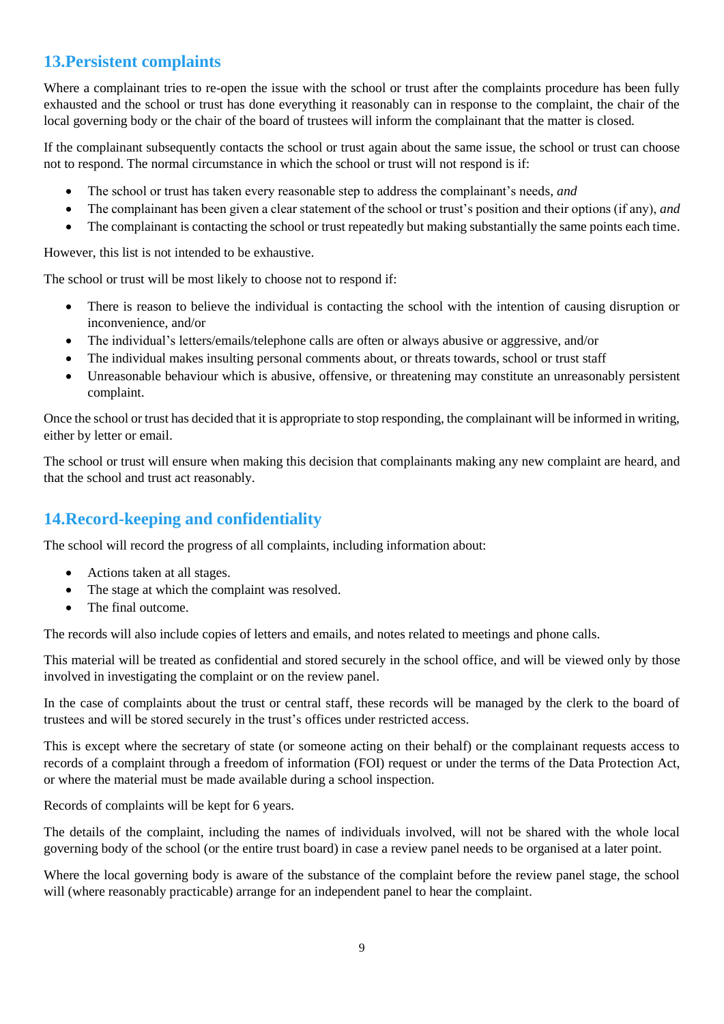# <span id="page-8-0"></span>**13.Persistent complaints**

Where a complainant tries to re-open the issue with the school or trust after the complaints procedure has been fully exhausted and the school or trust has done everything it reasonably can in response to the complaint, the chair of the local governing body or the chair of the board of trustees will inform the complainant that the matter is closed.

If the complainant subsequently contacts the school or trust again about the same issue, the school or trust can choose not to respond. The normal circumstance in which the school or trust will not respond is if:

- The school or trust has taken every reasonable step to address the complainant's needs, *and*
- The complainant has been given a clear statement of the school or trust's position and their options (if any), *and*
- The complainant is contacting the school or trust repeatedly but making substantially the same points each time.

However, this list is not intended to be exhaustive.

The school or trust will be most likely to choose not to respond if:

- There is reason to believe the individual is contacting the school with the intention of causing disruption or inconvenience, and/or
- The individual's letters/emails/telephone calls are often or always abusive or aggressive, and/or
- The individual makes insulting personal comments about, or threats towards, school or trust staff
- Unreasonable behaviour which is abusive, offensive, or threatening may constitute an unreasonably persistent complaint.

Once the school or trust has decided that it is appropriate to stop responding, the complainant will be informed in writing, either by letter or email.

The school or trust will ensure when making this decision that complainants making any new complaint are heard, and that the school and trust act reasonably.

# <span id="page-8-1"></span>**14.Record-keeping and confidentiality**

The school will record the progress of all complaints, including information about:

- Actions taken at all stages.
- The stage at which the complaint was resolved.
- The final outcome.

The records will also include copies of letters and emails, and notes related to meetings and phone calls.

This material will be treated as confidential and stored securely in the school office, and will be viewed only by those involved in investigating the complaint or on the review panel.

In the case of complaints about the trust or central staff, these records will be managed by the clerk to the board of trustees and will be stored securely in the trust's offices under restricted access.

This is except where the secretary of state (or someone acting on their behalf) or the complainant requests access to records of a complaint through a freedom of information (FOI) request or under the terms of the Data Protection Act, or where the material must be made available during a school inspection.

Records of complaints will be kept for 6 years.

The details of the complaint, including the names of individuals involved, will not be shared with the whole local governing body of the school (or the entire trust board) in case a review panel needs to be organised at a later point.

Where the local governing body is aware of the substance of the complaint before the review panel stage, the school will (where reasonably practicable) arrange for an independent panel to hear the complaint.